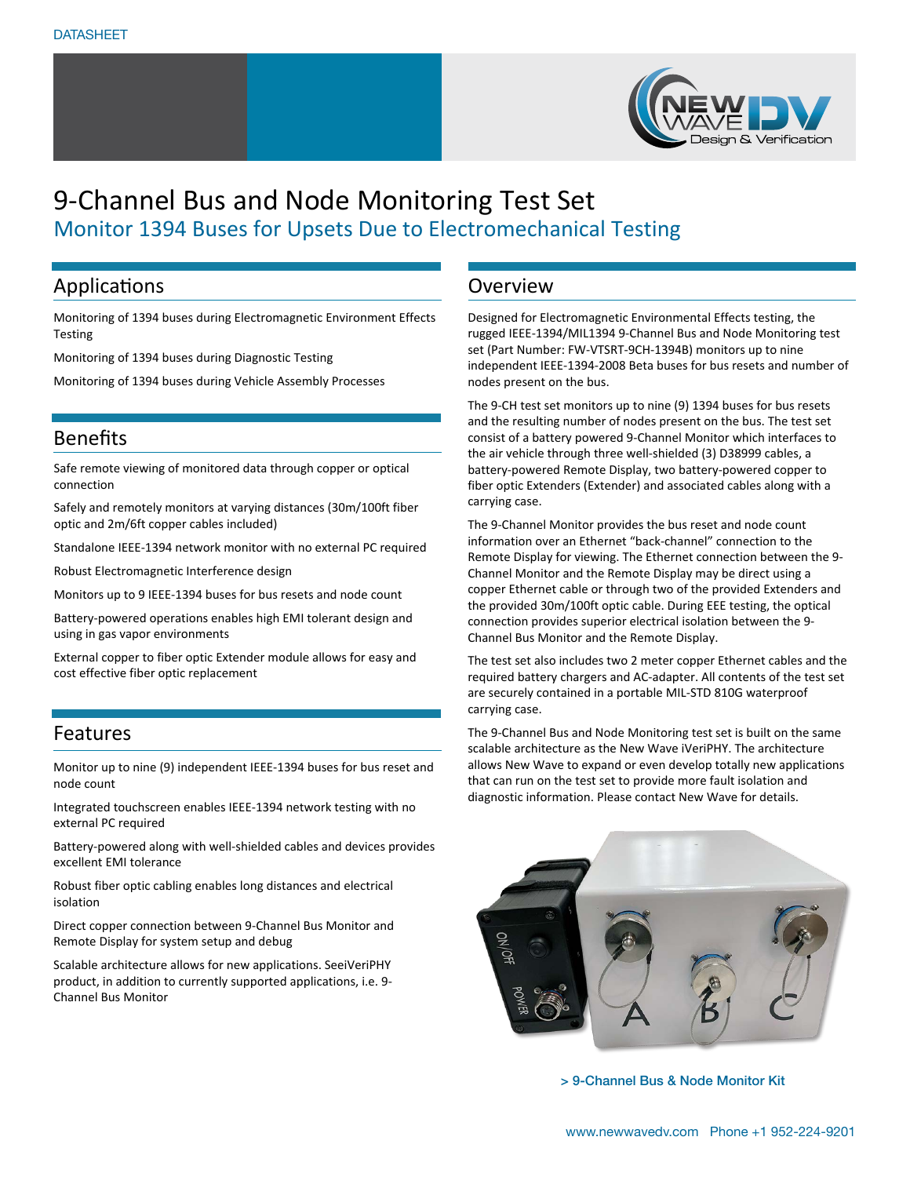

### Applications

Monitoring of 1394 buses during Electromagnetic Environment Effects Testing

Monitoring of 1394 buses during Diagnostic Testing

Monitoring of 1394 buses during Vehicle Assembly Processes

## Benefits

Safe remote viewing of monitored data through copper or optical connection

Safely and remotely monitors at varying distances (30m/100ft fiber optic and 2m/6ft copper cables included)

Standalone IEEE-1394 network monitor with no external PC required

Robust Electromagnetic Interference design

Monitors up to 9 IEEE-1394 buses for bus resets and node count

Battery-powered operations enables high EMI tolerant design and using in gas vapor environments

External copper to fiber optic Extender module allows for easy and cost effective fiber optic replacement

### Features

Monitor up to nine (9) independent IEEE-1394 buses for bus reset and node count

Integrated touchscreen enables IEEE-1394 network testing with no external PC required

Battery-powered along with well-shielded cables and devices provides excellent EMI tolerance

Robust fiber optic cabling enables long distances and electrical isolation

Direct copper connection between 9-Channel Bus Monitor and Remote Display for system setup and debug

Scalable architecture allows for new applications. SeeiVeriPHY product, in addition to currently supported applications, i.e. 9- Channel Bus Monitor

## Overview

Designed for Electromagnetic Environmental Effects testing, the rugged IEEE-1394/MIL1394 9-Channel Bus and Node Monitoring test set (Part Number: FW-VTSRT-9CH-1394B) monitors up to nine independent IEEE-1394-2008 Beta buses for bus resets and number of nodes present on the bus.

The 9-CH test set monitors up to nine (9) 1394 buses for bus resets and the resulting number of nodes present on the bus. The test set consist of a battery powered 9-Channel Monitor which interfaces to the air vehicle through three well-shielded (3) D38999 cables, a battery-powered Remote Display, two battery-powered copper to fiber optic Extenders (Extender) and associated cables along with a carrying case.

The 9-Channel Monitor provides the bus reset and node count information over an Ethernet "back-channel" connection to the Remote Display for viewing. The Ethernet connection between the 9- Channel Monitor and the Remote Display may be direct using a copper Ethernet cable or through two of the provided Extenders and the provided 30m/100ft optic cable. During EEE testing, the optical connection provides superior electrical isolation between the 9- Channel Bus Monitor and the Remote Display.

The test set also includes two 2 meter copper Ethernet cables and the required battery chargers and AC-adapter. All contents of the test set are securely contained in a portable MIL-STD 810G waterproof carrying case.

The 9-Channel Bus and Node Monitoring test set is built on the same scalable architecture as the New Wave iVeriPHY. The architecture allows New Wave to expand or even develop totally new applications that can run on the test set to provide more fault isolation and diagnostic information. Please contact New Wave for details.



> 9-Channel Bus & Node Monitor Kit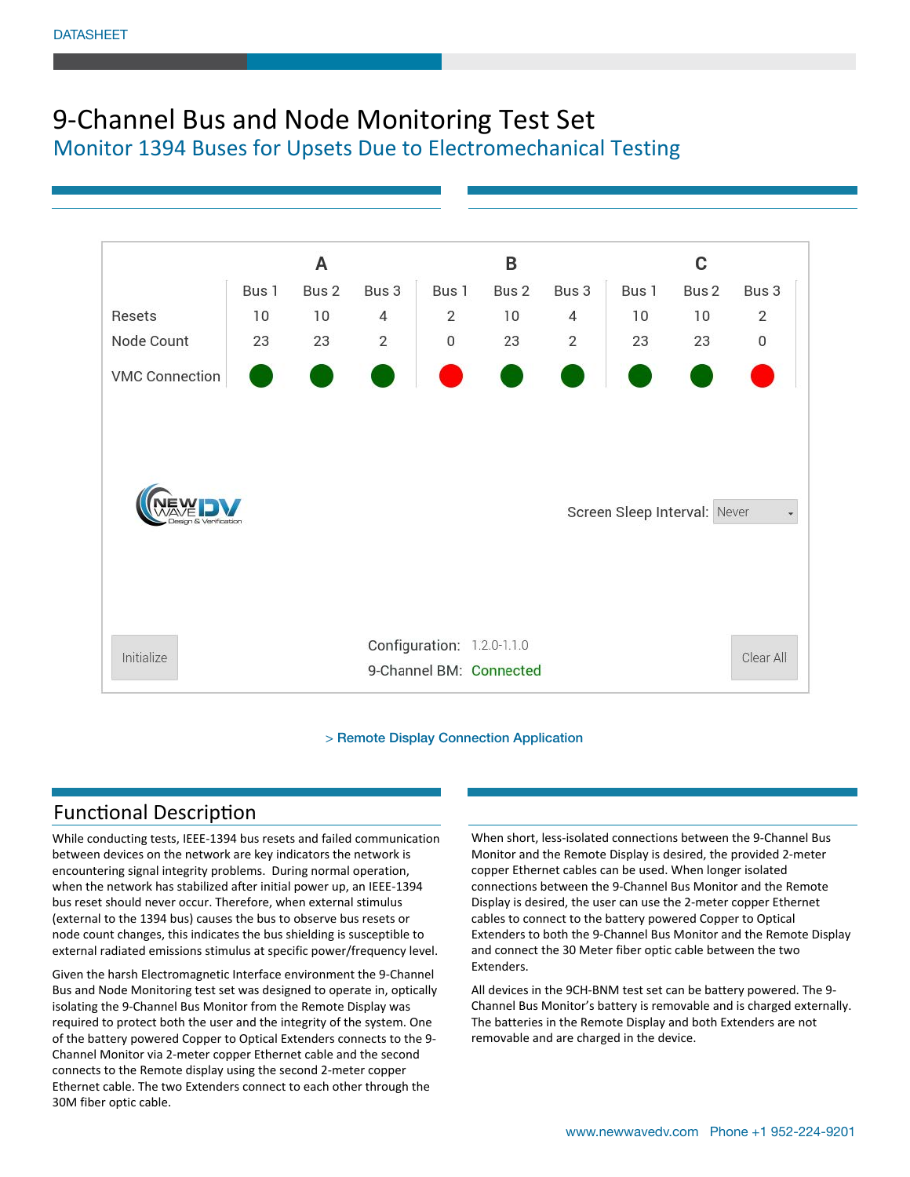

> Remote Display Connection Application

## Functional Description

While conducting tests, IEEE-1394 bus resets and failed communication between devices on the network are key indicators the network is encountering signal integrity problems. During normal operation, when the network has stabilized after initial power up, an IEEE-1394 bus reset should never occur. Therefore, when external stimulus (external to the 1394 bus) causes the bus to observe bus resets or node count changes, this indicates the bus shielding is susceptible to external radiated emissions stimulus at specific power/frequency level.

Given the harsh Electromagnetic Interface environment the 9-Channel Bus and Node Monitoring test set was designed to operate in, optically isolating the 9-Channel Bus Monitor from the Remote Display was required to protect both the user and the integrity of the system. One of the battery powered Copper to Optical Extenders connects to the 9- Channel Monitor via 2-meter copper Ethernet cable and the second connects to the Remote display using the second 2-meter copper Ethernet cable. The two Extenders connect to each other through the 30M fiber optic cable.

When short, less-isolated connections between the 9-Channel Bus Monitor and the Remote Display is desired, the provided 2-meter copper Ethernet cables can be used. When longer isolated connections between the 9-Channel Bus Monitor and the Remote Display is desired, the user can use the 2-meter copper Ethernet cables to connect to the battery powered Copper to Optical Extenders to both the 9-Channel Bus Monitor and the Remote Display and connect the 30 Meter fiber optic cable between the two Extenders.

All devices in the 9CH-BNM test set can be battery powered. The 9- Channel Bus Monitor's battery is removable and is charged externally. The batteries in the Remote Display and both Extenders are not removable and are charged in the device.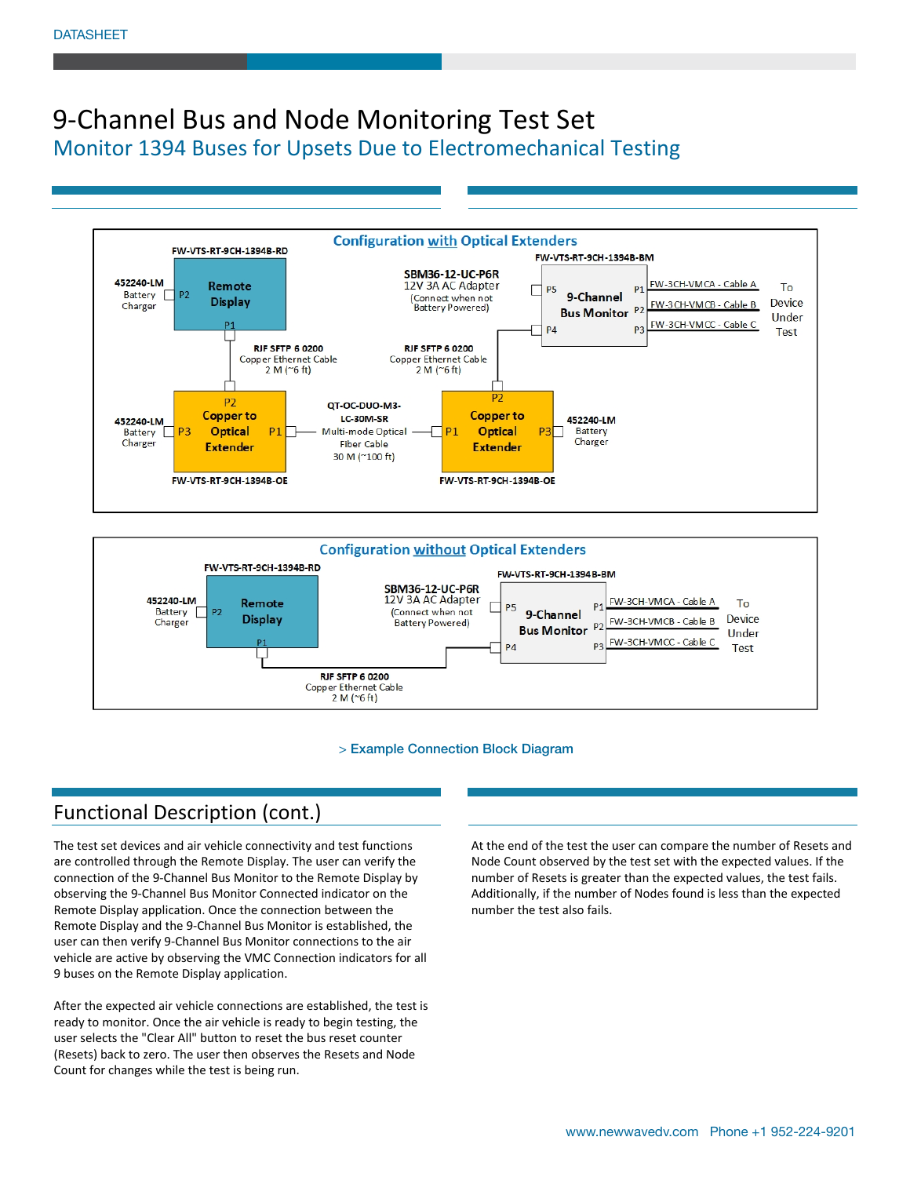



#### > Example Connection Block Diagram

## Functional Description (cont.)

The test set devices and air vehicle connectivity and test functions are controlled through the Remote Display. The user can verify the connection of the 9-Channel Bus Monitor to the Remote Display by observing the 9-Channel Bus Monitor Connected indicator on the Remote Display application. Once the connection between the Remote Display and the 9-Channel Bus Monitor is established, the user can then verify 9-Channel Bus Monitor connections to the air vehicle are active by observing the VMC Connection indicators for all 9 buses on the Remote Display application.

After the expected air vehicle connections are established, the test is ready to monitor. Once the air vehicle is ready to begin testing, the user selects the "Clear All" button to reset the bus reset counter (Resets) back to zero. The user then observes the Resets and Node Count for changes while the test is being run.

At the end of the test the user can compare the number of Resets and Node Count observed by the test set with the expected values. If the number of Resets is greater than the expected values, the test fails. Additionally, if the number of Nodes found is less than the expected number the test also fails.